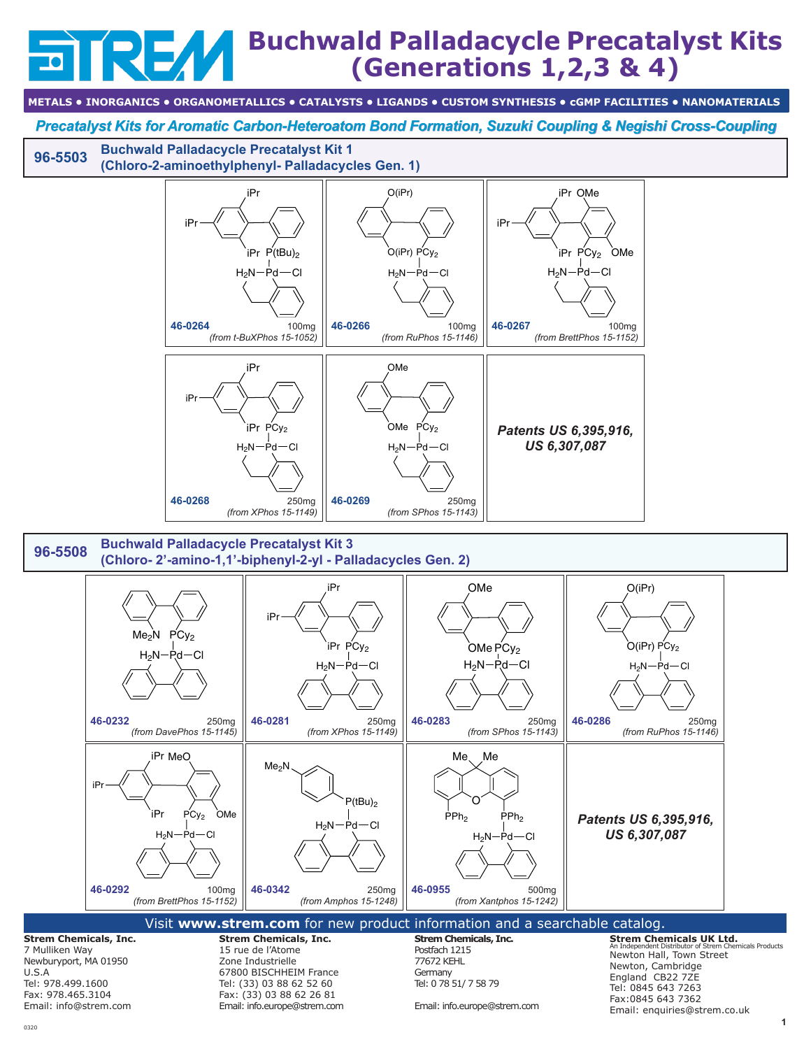## **Buchwald Palladacycle Precatalyst Kits (Generations 1,2,3 & 4)**

**METALS • INORGANICS • ORGANOMETALLICS • CATALYSTS • LIGANDS • CUSTOM SYNTHESIS • cGMP FACILITIES • NANOMATERIALS**

*Precatalyst Kits for Aromatic Carbon-Heteroatom Bond Formation, Suzuki Coupling & Negishi Cross-Coupling*

**[96-5503](http://www.strem.com/catalog/v/96-5503/) Buchwald Palladacycle Precatalyst Kit 1 (Chloro-2-aminoethylphenyl- Palladacycles Gen. 1)**



Tel: 978.499.1600 Fax: 978.465.3104 Email: info@strem.com

U.S.A

0320

Zone Industrielle 67800 BISCHHEIM France Tel: (33) 03 88 62 52 60 Fax: (33) 03 88 62 26 81 Email: info.europe@strem.com 77672 KEHL **Germany** Tel: 0 78 51/ 7 58 79

Email: info.europe@strem.com

Newton, Cambridge England CB22 7ZE Tel: 0845 643 7263 Fax:0845 643 7362 Email: enquiries@strem.co.uk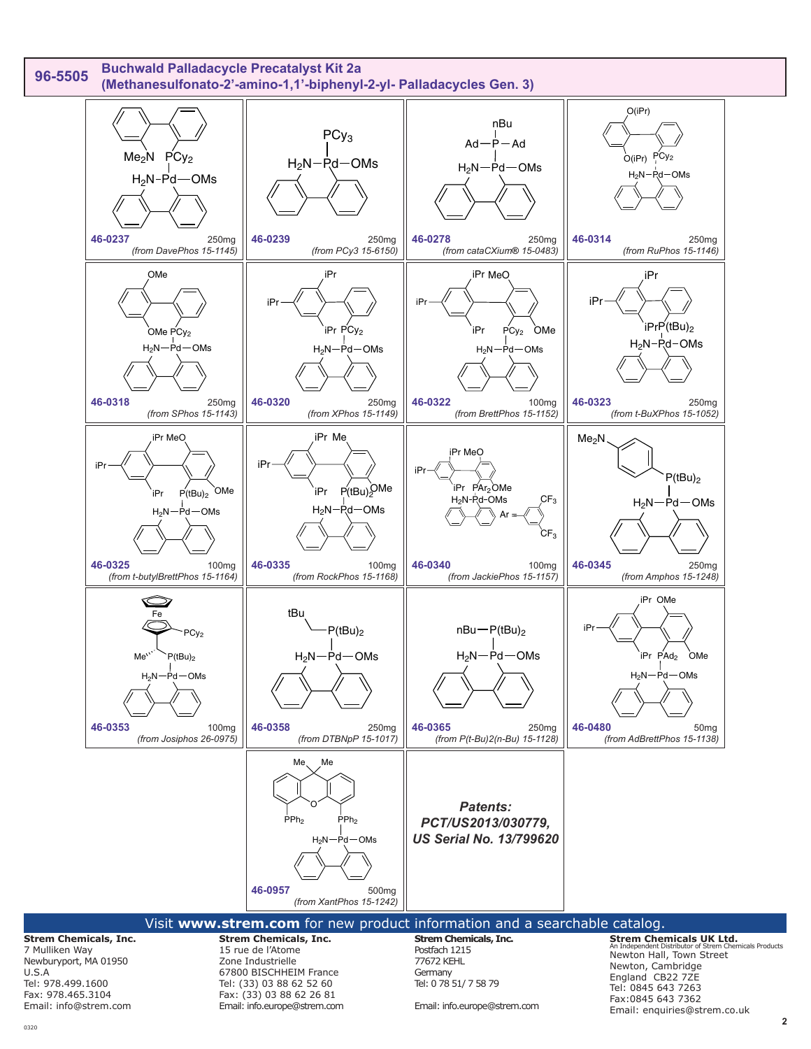

## 0320

Tel: 978.499.1600 Fax: 978.465.3104 Email: info@strem.com

Tel: 0 78 51/ 7 58 79

Email: info.europe@strem.com

**Strem Chemicals UK Ltd.** An Independent Distributor of Strem Chemicals Products England CB22 7ZE Tel: 0845 643 7263 Fax:0845 643 7362 Email: enquiries@strem.co.uk

Tel: (33) 03 88 62 52 60 Fax: (33) 03 88 62 26 81 Email: info.europe@strem.com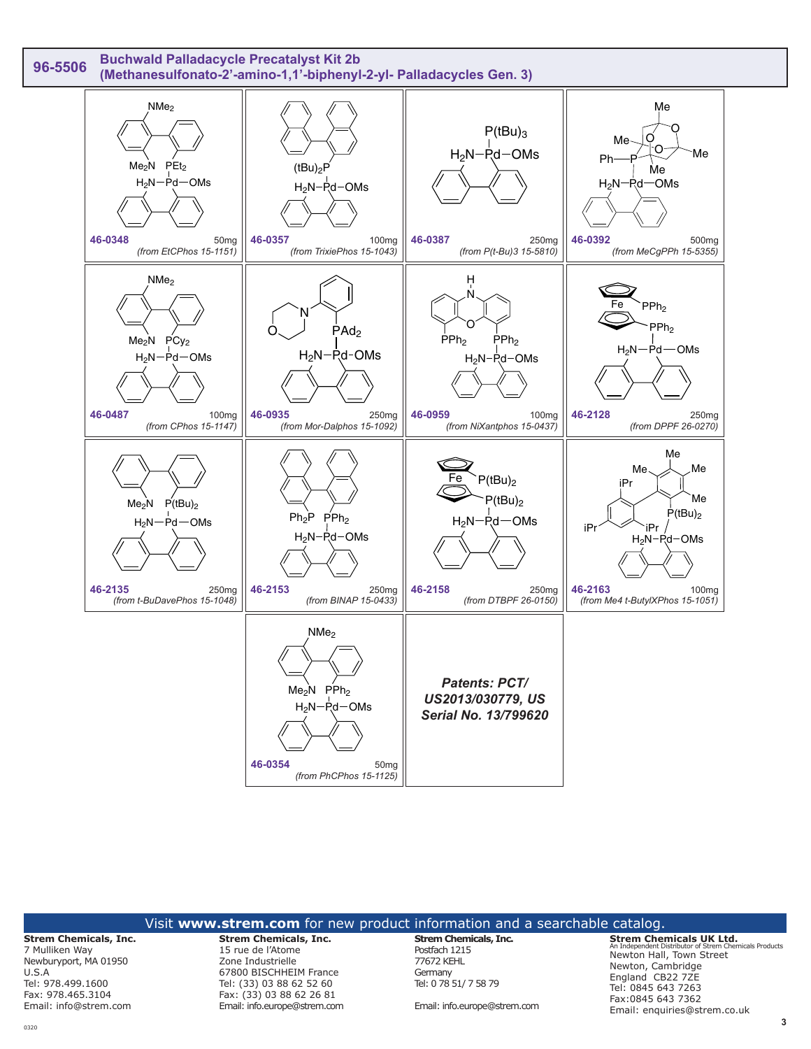

|                                                                                                                                                     | Visit www.strem.com for new product information and a searchable catalog.                                                                                                                |                                                                                                                                 |                                                                                                                                                                                                                                           |
|-----------------------------------------------------------------------------------------------------------------------------------------------------|------------------------------------------------------------------------------------------------------------------------------------------------------------------------------------------|---------------------------------------------------------------------------------------------------------------------------------|-------------------------------------------------------------------------------------------------------------------------------------------------------------------------------------------------------------------------------------------|
| <b>Strem Chemicals, Inc.</b><br>7 Mulliken Way<br>Newburyport, MA 01950<br>U.S.A<br>Tel: 978.499.1600<br>Fax: 978.465.3104<br>Email: info@strem.com | <b>Strem Chemicals, Inc.</b><br>15 rue de l'Atome<br>Zone Industrielle<br>67800 BISCHHEIM France<br>Tel: (33) 03 88 62 52 60<br>Fax: (33) 03 88 62 26 81<br>Email: info.europe@strem.com | <b>Strem Chemicals, Inc.</b><br>Postfach 1215<br>77672 KEHL<br>Germany<br>Tel: 0 78 51/ 7 58 79<br>Email: info.europe@strem.com | <b>Strem Chemicals UK Ltd.</b><br>An Independent Distributor of Strem Chemicals Products<br>Newton Hall, Town Street<br>Newton, Cambridge<br>England CB22 7ZE<br>Tel: 0845 643 7263<br>Fax: 0845 643 7362<br>Email: enguiries@strem.co.uk |
|                                                                                                                                                     |                                                                                                                                                                                          |                                                                                                                                 | 3                                                                                                                                                                                                                                         |